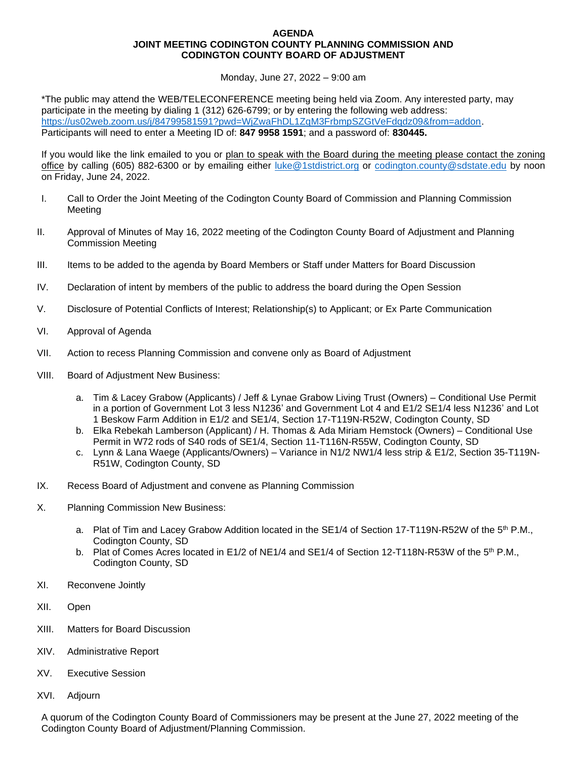## **AGENDA JOINT MEETING CODINGTON COUNTY PLANNING COMMISSION AND CODINGTON COUNTY BOARD OF ADJUSTMENT**

Monday, June 27, 2022 – 9:00 am

\*The public may attend the WEB/TELECONFERENCE meeting being held via Zoom. Any interested party, may participate in the meeting by dialing 1 (312) 626-6799; or by entering the following web address: [https://us02web.zoom.us/j/84799581591?pwd=WjZwaFhDL1ZqM3FrbmpSZGtVeFdqdz09&from=addon.](https://nam12.safelinks.protection.outlook.com/?url=https%3A%2F%2Fus02web.zoom.us%2Fj%2F87817265019%3Fpwd%3DemYzNjZyVExiOGJxeTFQTWFrMlIrdz09%26from%3Daddon&data=04%7C01%7CCodington.County%40sdstate.edu%7C629cd5a18f3242660d0c08da18cd7dfa%7C1bbefbe9cb9e4a62bd10a2a60b1a28c5%7C0%7C0%7C637849568113986442%7CUnknown%7CTWFpbGZsb3d8eyJWIjoiMC4wLjAwMDAiLCJQIjoiV2luMzIiLCJBTiI6Ik1haWwiLCJXVCI6Mn0%3D%7C1000&sdata=JhXLkdmnMKUrfDqKO1Ubdr9%2Fj1VasL4FSIwKgCVkdYQ%3D&reserved=0) Participants will need to enter a Meeting ID of: **847 9958 1591**; and a password of: **830445.**

If you would like the link emailed to you or plan to speak with the Board during the meeting please contact the zoning office by calling (605) 882-6300 or by emailing either [luke@1stdistrict.org](mailto:luke@1stdistrict.org) or [codington.county@sdstate.edu](mailto:codington.county@sdstate.edu) by noon on Friday, June 24, 2022.

- I. Call to Order the Joint Meeting of the Codington County Board of Commission and Planning Commission Meeting
- II. Approval of Minutes of May 16, 2022 meeting of the Codington County Board of Adjustment and Planning Commission Meeting
- III. Items to be added to the agenda by Board Members or Staff under Matters for Board Discussion
- IV. Declaration of intent by members of the public to address the board during the Open Session
- V. Disclosure of Potential Conflicts of Interest; Relationship(s) to Applicant; or Ex Parte Communication
- VI. Approval of Agenda
- VII. Action to recess Planning Commission and convene only as Board of Adjustment
- VIII. Board of Adjustment New Business:
	- a. Tim & Lacey Grabow (Applicants) / Jeff & Lynae Grabow Living Trust (Owners) Conditional Use Permit in a portion of Government Lot 3 less N1236' and Government Lot 4 and E1/2 SE1/4 less N1236' and Lot 1 Beskow Farm Addition in E1/2 and SE1/4, Section 17-T119N-R52W, Codington County, SD
	- b. Elka Rebekah Lamberson (Applicant) / H. Thomas & Ada Miriam Hemstock (Owners) Conditional Use Permit in W72 rods of S40 rods of SE1/4, Section 11-T116N-R55W, Codington County, SD
	- c. Lynn & Lana Waege (Applicants/Owners) Variance in N1/2 NW1/4 less strip & E1/2, Section 35-T119N-R51W, Codington County, SD
- IX. Recess Board of Adjustment and convene as Planning Commission
- X. Planning Commission New Business:
	- a. Plat of Tim and Lacey Grabow Addition located in the SE1/4 of Section 17-T119N-R52W of the 5<sup>th</sup> P.M., Codington County, SD
	- b. Plat of Comes Acres located in E1/2 of NE1/4 and SE1/4 of Section 12-T118N-R53W of the 5<sup>th</sup> P.M., Codington County, SD
- XI. Reconvene Jointly
- XII. Open
- XIII. Matters for Board Discussion
- XIV. Administrative Report
- XV. Executive Session
- XVI. Adjourn

A quorum of the Codington County Board of Commissioners may be present at the June 27, 2022 meeting of the Codington County Board of Adjustment/Planning Commission.